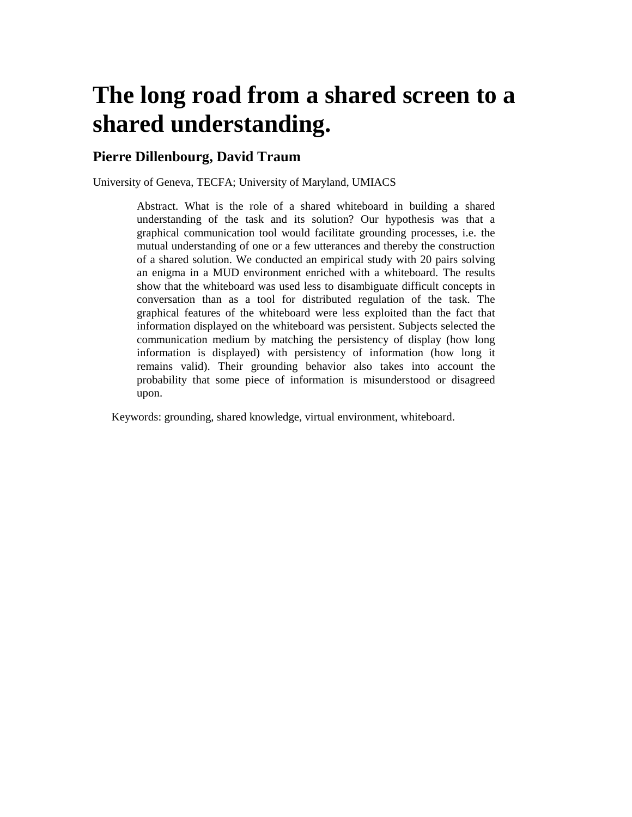# **The long road from a shared screen to a shared understanding.**

## **Pierre Dillenbourg, David Traum**

University of Geneva, TECFA; University of Maryland, UMIACS

Abstract. What is the role of a shared whiteboard in building a shared understanding of the task and its solution? Our hypothesis was that a graphical communication tool would facilitate grounding processes, i.e. the mutual understanding of one or a few utterances and thereby the construction of a shared solution. We conducted an empirical study with 20 pairs solving an enigma in a MUD environment enriched with a whiteboard. The results show that the whiteboard was used less to disambiguate difficult concepts in conversation than as a tool for distributed regulation of the task. The graphical features of the whiteboard were less exploited than the fact that information displayed on the whiteboard was persistent. Subjects selected the communication medium by matching the persistency of display (how long information is displayed) with persistency of information (how long it remains valid). Their grounding behavior also takes into account the probability that some piece of information is misunderstood or disagreed upon.

Keywords: grounding, shared knowledge, virtual environment, whiteboard.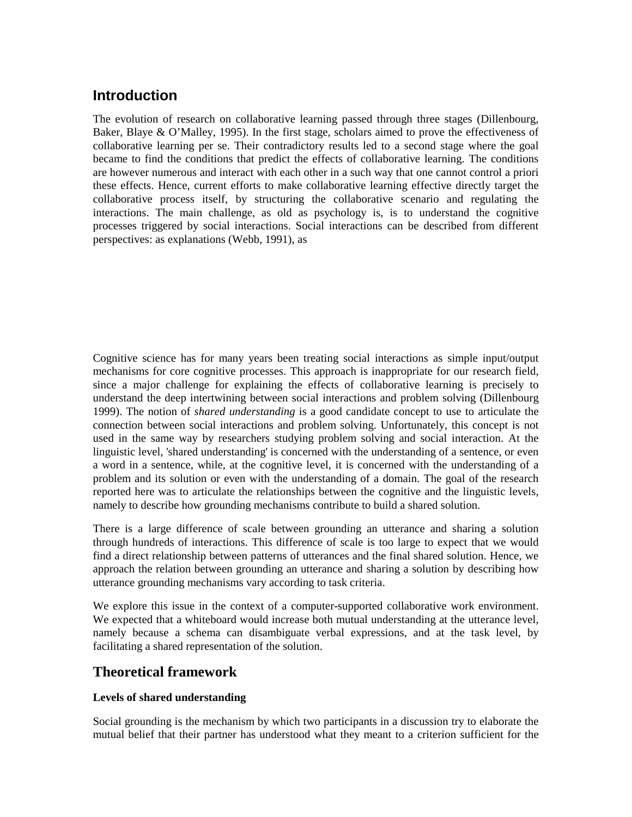# **Introduction**

The evolution of research on collaborative learning passed through three stages (Dillenbourg, Baker, Blaye & O'Malley, 1995). In the first stage, scholars aimed to prove the effectiveness of collaborative learning per se. Their contradictory results led to a second stage where the goal became to find the conditions that predict the effects of collaborative learning. The conditions are however numerous and interact with each other in a such way that one cannot control a priori these effects. Hence, current efforts to make collaborative learning effective directly target the collaborative process itself, by structuring the collaborative scenario and regulating the interactions. The main challenge, as old as psychology is, is to understand the cognitive processes triggered by social interactions. Social interactions can be described from different perspectives: as explanations (Webb, 1991), as

Cognitive science has for many years been treating social interactions as simple input/output mechanisms for core cognitive processes. This approach is inappropriate for our research field, since a major challenge for explaining the effects of collaborative learning is precisely to understand the deep intertwining between social interactions and problem solving (Dillenbourg 1999). The notion of *shared understanding* is a good candidate concept to use to articulate the connection between social interactions and problem solving. Unfortunately, this concept is not used in the same way by researchers studying problem solving and social interaction. At the linguistic level, 'shared understanding' is concerned with the understanding of a sentence, or even a word in a sentence, while, at the cognitive level, it is concerned with the understanding of a problem and its solution or even with the understanding of a domain. The goal of the research reported here was to articulate the relationships between the cognitive and the linguistic levels, namely to describe how grounding mechanisms contribute to build a shared solution.

There is a large difference of scale between grounding an utterance and sharing a solution through hundreds of interactions. This difference of scale is too large to expect that we would find a direct relationship between patterns of utterances and the final shared solution. Hence, we approach the relation between grounding an utterance and sharing a solution by describing how utterance grounding mechanisms vary according to task criteria.

We explore this issue in the context of a computer-supported collaborative work environment. We expected that a whiteboard would increase both mutual understanding at the utterance level, namely because a schema can disambiguate verbal expressions, and at the task level, by facilitating a shared representation of the solution.

# **Theoretical framework**

## **Levels of shared understanding**

Social grounding is the mechanism by which two participants in a discussion try to elaborate the mutual belief that their partner has understood what they meant to a criterion sufficient for the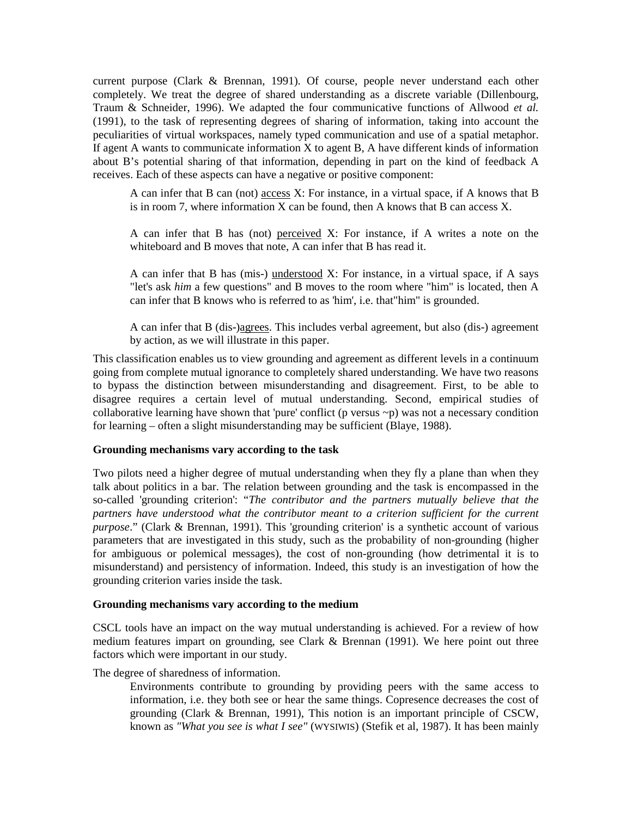current purpose (Clark & Brennan, 1991). Of course, people never understand each other completely. We treat the degree of shared understanding as a discrete variable (Dillenbourg, Traum & Schneider, 1996). We adapted the four communicative functions of Allwood *et al.* (1991), to the task of representing degrees of sharing of information, taking into account the peculiarities of virtual workspaces, namely typed communication and use of a spatial metaphor. If agent A wants to communicate information  $X$  to agent B, A have different kinds of information about B's potential sharing of that information, depending in part on the kind of feedback A receives. Each of these aspects can have a negative or positive component:

A can infer that B can (not) access X: For instance, in a virtual space, if A knows that B is in room 7, where information X can be found, then A knows that B can access X.

A can infer that B has (not) perceived X: For instance, if A writes a note on the whiteboard and B moves that note, A can infer that B has read it.

A can infer that B has (mis-) understood X: For instance, in a virtual space, if A says "let's ask *him* a few questions" and B moves to the room where "him" is located, then A can infer that B knows who is referred to as 'him', i.e. that"him" is grounded.

A can infer that B (dis-)agrees. This includes verbal agreement, but also (dis-) agreement by action, as we will illustrate in this paper.

This classification enables us to view grounding and agreement as different levels in a continuum going from complete mutual ignorance to completely shared understanding. We have two reasons to bypass the distinction between misunderstanding and disagreement. First, to be able to disagree requires a certain level of mutual understanding. Second, empirical studies of collaborative learning have shown that 'pure' conflict (p versus  $\sim p$ ) was not a necessary condition for learning – often a slight misunderstanding may be sufficient (Blaye, 1988).

#### **Grounding mechanisms vary according to the task**

Two pilots need a higher degree of mutual understanding when they fly a plane than when they talk about politics in a bar. The relation between grounding and the task is encompassed in the so-called 'grounding criterion': "*The contributor and the partners mutually believe that the partners have understood what the contributor meant to a criterion sufficient for the current purpose*." (Clark & Brennan, 1991). This 'grounding criterion' is a synthetic account of various parameters that are investigated in this study, such as the probability of non-grounding (higher for ambiguous or polemical messages), the cost of non-grounding (how detrimental it is to misunderstand) and persistency of information. Indeed, this study is an investigation of how the grounding criterion varies inside the task.

## **Grounding mechanisms vary according to the medium**

CSCL tools have an impact on the way mutual understanding is achieved. For a review of how medium features impart on grounding, see Clark & Brennan (1991). We here point out three factors which were important in our study.

The degree of sharedness of information.

Environments contribute to grounding by providing peers with the same access to information, i.e. they both see or hear the same things. Copresence decreases the cost of grounding (Clark & Brennan, 1991), This notion is an important principle of CSCW, known as *"What you see is what I see"* (WYSIWIS) (Stefik et al, 1987). It has been mainly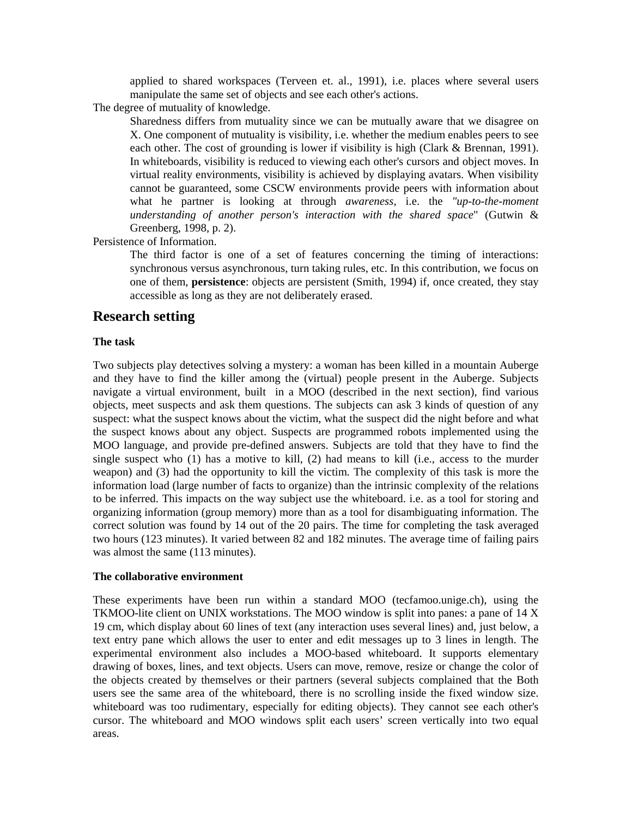applied to shared workspaces (Terveen et. al., 1991), i.e. places where several users manipulate the same set of objects and see each other's actions.

The degree of mutuality of knowledge.

Sharedness differs from mutuality since we can be mutually aware that we disagree on X. One component of mutuality is visibility, i.e. whether the medium enables peers to see each other. The cost of grounding is lower if visibility is high (Clark & Brennan, 1991). In whiteboards, visibility is reduced to viewing each other's cursors and object moves. In virtual reality environments, visibility is achieved by displaying avatars. When visibility cannot be guaranteed, some CSCW environments provide peers with information about what he partner is looking at through *awareness*, i.e. the *"up-to-the-moment understanding of another person's interaction with the shared space*" (Gutwin & Greenberg, 1998, p. 2).

Persistence of Information.

The third factor is one of a set of features concerning the timing of interactions: synchronous versus asynchronous, turn taking rules, etc. In this contribution, we focus on one of them, **persistence**: objects are persistent (Smith, 1994) if, once created, they stay accessible as long as they are not deliberately erased.

## **Research setting**

## **The task**

Two subjects play detectives solving a mystery: a woman has been killed in a mountain Auberge and they have to find the killer among the (virtual) people present in the Auberge. Subjects navigate a virtual environment, built in a MOO (described in the next section), find various objects, meet suspects and ask them questions. The subjects can ask 3 kinds of question of any suspect: what the suspect knows about the victim, what the suspect did the night before and what the suspect knows about any object. Suspects are programmed robots implemented using the MOO language, and provide pre-defined answers. Subjects are told that they have to find the single suspect who (1) has a motive to kill, (2) had means to kill (i.e., access to the murder weapon) and (3) had the opportunity to kill the victim. The complexity of this task is more the information load (large number of facts to organize) than the intrinsic complexity of the relations to be inferred. This impacts on the way subject use the whiteboard. i.e. as a tool for storing and organizing information (group memory) more than as a tool for disambiguating information. The correct solution was found by 14 out of the 20 pairs. The time for completing the task averaged two hours (123 minutes). It varied between 82 and 182 minutes. The average time of failing pairs was almost the same (113 minutes).

#### **The collaborative environment**

These experiments have been run within a standard MOO (tecfamoo.unige.ch), using the TKMOO-lite client on UNIX workstations. The MOO window is split into panes: a pane of 14 X 19 cm, which display about 60 lines of text (any interaction uses several lines) and, just below, a text entry pane which allows the user to enter and edit messages up to 3 lines in length. The experimental environment also includes a MOO-based whiteboard. It supports elementary drawing of boxes, lines, and text objects. Users can move, remove, resize or change the color of the objects created by themselves or their partners (several subjects complained that the Both users see the same area of the whiteboard, there is no scrolling inside the fixed window size. whiteboard was too rudimentary, especially for editing objects). They cannot see each other's cursor. The whiteboard and MOO windows split each users' screen vertically into two equal areas.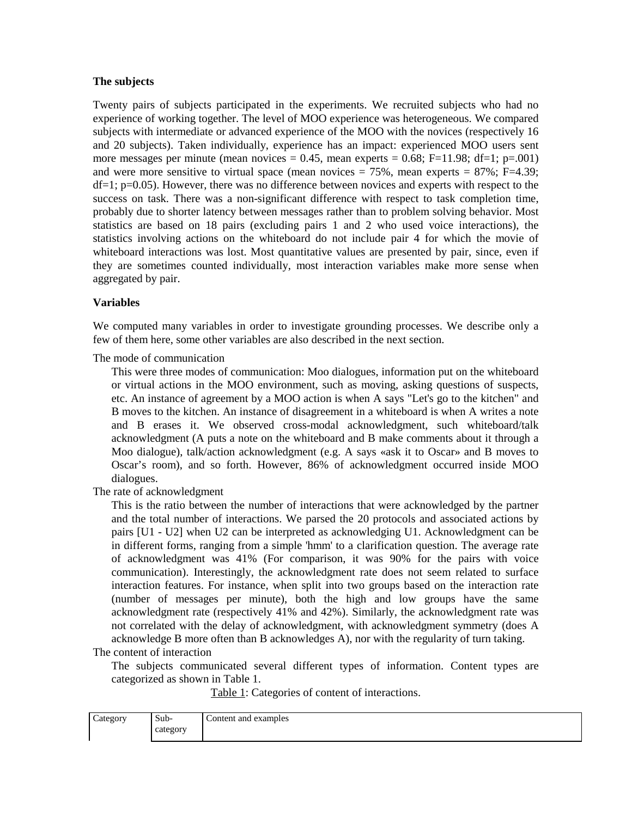## **The subjects**

Twenty pairs of subjects participated in the experiments. We recruited subjects who had no experience of working together. The level of MOO experience was heterogeneous. We compared subjects with intermediate or advanced experience of the MOO with the novices (respectively 16 and 20 subjects). Taken individually, experience has an impact: experienced MOO users sent more messages per minute (mean novices =  $0.45$ , mean experts =  $0.68$ ; F=11.98; df=1; p=.001) and were more sensitive to virtual space (mean novices  $= 75\%$ , mean experts  $= 87\%$ ; F=4.39;  $df=1$ ;  $p=0.05$ ). However, there was no difference between novices and experts with respect to the success on task. There was a non-significant difference with respect to task completion time, probably due to shorter latency between messages rather than to problem solving behavior. Most statistics are based on 18 pairs (excluding pairs 1 and 2 who used voice interactions), the statistics involving actions on the whiteboard do not include pair 4 for which the movie of whiteboard interactions was lost. Most quantitative values are presented by pair, since, even if they are sometimes counted individually, most interaction variables make more sense when aggregated by pair.

## **Variables**

We computed many variables in order to investigate grounding processes. We describe only a few of them here, some other variables are also described in the next section.

The mode of communication

This were three modes of communication: Moo dialogues, information put on the whiteboard or virtual actions in the MOO environment, such as moving, asking questions of suspects, etc. An instance of agreement by a MOO action is when A says "Let's go to the kitchen" and B moves to the kitchen. An instance of disagreement in a whiteboard is when A writes a note and B erases it. We observed cross-modal acknowledgment, such whiteboard/talk acknowledgment (A puts a note on the whiteboard and B make comments about it through a Moo dialogue), talk/action acknowledgment (e.g. A says «ask it to Oscar» and B moves to Oscar's room), and so forth. However, 86% of acknowledgment occurred inside MOO dialogues.

The rate of acknowledgment

This is the ratio between the number of interactions that were acknowledged by the partner and the total number of interactions. We parsed the 20 protocols and associated actions by pairs [U1 - U2] when U2 can be interpreted as acknowledging U1. Acknowledgment can be in different forms, ranging from a simple 'hmm' to a clarification question. The average rate of acknowledgment was 41% (For comparison, it was 90% for the pairs with voice communication). Interestingly, the acknowledgment rate does not seem related to surface interaction features. For instance, when split into two groups based on the interaction rate (number of messages per minute), both the high and low groups have the same acknowledgment rate (respectively 41% and 42%). Similarly, the acknowledgment rate was not correlated with the delay of acknowledgment, with acknowledgment symmetry (does A acknowledge B more often than B acknowledges A), nor with the regularity of turn taking.

The content of interaction

The subjects communicated several different types of information. Content types are categorized as shown in Table 1.

Table 1: Categories of content of interactions.

| Category | $\sim$<br>Sub- | Content and examples |
|----------|----------------|----------------------|
|          | category       |                      |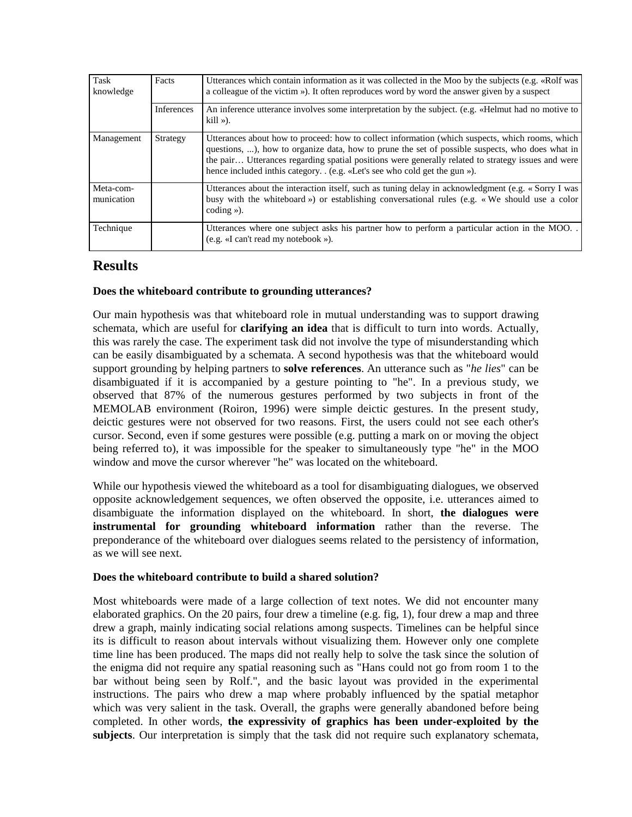| Task<br>knowledge       | Facts      | Utterances which contain information as it was collected in the Moo by the subjects (e.g. «Rolf was<br>a colleague of the victim »). It often reproduces word by word the answer given by a suspect                                                                                                                                                                                      |  |
|-------------------------|------------|------------------------------------------------------------------------------------------------------------------------------------------------------------------------------------------------------------------------------------------------------------------------------------------------------------------------------------------------------------------------------------------|--|
|                         | Inferences | An inference utterance involves some interpretation by the subject. (e.g. «Helmut had no motive to<br>$kill \gg$ ).                                                                                                                                                                                                                                                                      |  |
| Management              | Strategy   | Utterances about how to proceed: how to collect information (which suspects, which rooms, which<br>questions, ), how to organize data, how to prune the set of possible suspects, who does what in<br>the pair Utterances regarding spatial positions were generally related to strategy issues and were<br>hence included in this category. . (e.g. «Let's see who cold get the gun »). |  |
| Meta-com-<br>munication |            | Utterances about the interaction itself, such as tuning delay in acknowledgment (e.g. « Sorry I was<br>busy with the whiteboard ») or establishing conversational rules (e.g. «We should use a color<br>coding $\gg$ ).                                                                                                                                                                  |  |
| Technique               |            | Utterances where one subject asks his partner how to perform a particular action in the MOO.<br>(e.g. «I can't read my notebook »).                                                                                                                                                                                                                                                      |  |

## **Results**

## **Does the whiteboard contribute to grounding utterances?**

Our main hypothesis was that whiteboard role in mutual understanding was to support drawing schemata, which are useful for **clarifying an idea** that is difficult to turn into words. Actually, this was rarely the case. The experiment task did not involve the type of misunderstanding which can be easily disambiguated by a schemata. A second hypothesis was that the whiteboard would support grounding by helping partners to **solve references**. An utterance such as "*he lies*" can be disambiguated if it is accompanied by a gesture pointing to "he". In a previous study, we observed that 87% of the numerous gestures performed by two subjects in front of the MEMOLAB environment (Roiron, 1996) were simple deictic gestures. In the present study, deictic gestures were not observed for two reasons. First, the users could not see each other's cursor. Second, even if some gestures were possible (e.g. putting a mark on or moving the object being referred to), it was impossible for the speaker to simultaneously type "he" in the MOO window and move the cursor wherever "he" was located on the whiteboard.

While our hypothesis viewed the whiteboard as a tool for disambiguating dialogues, we observed opposite acknowledgement sequences, we often observed the opposite, i.e. utterances aimed to disambiguate the information displayed on the whiteboard. In short, **the dialogues were instrumental for grounding whiteboard information** rather than the reverse. The preponderance of the whiteboard over dialogues seems related to the persistency of information, as we will see next.

## **Does the whiteboard contribute to build a shared solution?**

Most whiteboards were made of a large collection of text notes. We did not encounter many elaborated graphics. On the 20 pairs, four drew a timeline (e.g. fig, 1), four drew a map and three drew a graph, mainly indicating social relations among suspects. Timelines can be helpful since its is difficult to reason about intervals without visualizing them. However only one complete time line has been produced. The maps did not really help to solve the task since the solution of the enigma did not require any spatial reasoning such as "Hans could not go from room 1 to the bar without being seen by Rolf.", and the basic layout was provided in the experimental instructions. The pairs who drew a map where probably influenced by the spatial metaphor which was very salient in the task. Overall, the graphs were generally abandoned before being completed. In other words, **the expressivity of graphics has been under-exploited by the subjects**. Our interpretation is simply that the task did not require such explanatory schemata,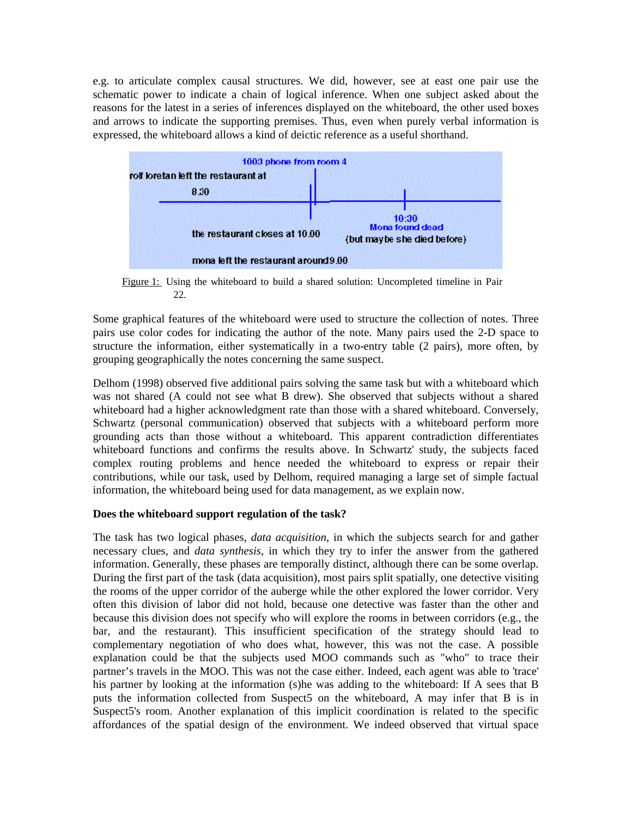e.g. to articulate complex causal structures. We did, however, see at east one pair use the schematic power to indicate a chain of logical inference. When one subject asked about the reasons for the latest in a series of inferences displayed on the whiteboard, the other used boxes and arrows to indicate the supporting premises. Thus, even when purely verbal information is expressed, the whiteboard allows a kind of deictic reference as a useful shorthand.



Figure 1: Using the whiteboard to build a shared solution: Uncompleted timeline in Pair 22.

Some graphical features of the whiteboard were used to structure the collection of notes. Three pairs use color codes for indicating the author of the note. Many pairs used the 2-D space to structure the information, either systematically in a two-entry table (2 pairs), more often, by grouping geographically the notes concerning the same suspect.

Delhom (1998) observed five additional pairs solving the same task but with a whiteboard which was not shared (A could not see what B drew). She observed that subjects without a shared whiteboard had a higher acknowledgment rate than those with a shared whiteboard. Conversely, Schwartz (personal communication) observed that subjects with a whiteboard perform more grounding acts than those without a whiteboard. This apparent contradiction differentiates whiteboard functions and confirms the results above. In Schwartz' study, the subjects faced complex routing problems and hence needed the whiteboard to express or repair their contributions, while our task, used by Delhom, required managing a large set of simple factual information, the whiteboard being used for data management, as we explain now.

## **Does the whiteboard support regulation of the task?**

The task has two logical phases, *data acquisition*, in which the subjects search for and gather necessary clues, and *data synthesis*, in which they try to infer the answer from the gathered information. Generally, these phases are temporally distinct, although there can be some overlap. During the first part of the task (data acquisition), most pairs split spatially, one detective visiting the rooms of the upper corridor of the auberge while the other explored the lower corridor. Very often this division of labor did not hold, because one detective was faster than the other and because this division does not specify who will explore the rooms in between corridors (e.g., the bar, and the restaurant). This insufficient specification of the strategy should lead to complementary negotiation of who does what, however, this was not the case. A possible explanation could be that the subjects used MOO commands such as "who" to trace their partner's travels in the MOO. This was not the case either. Indeed, each agent was able to 'trace' his partner by looking at the information (s)he was adding to the whiteboard: If A sees that B puts the information collected from Suspect5 on the whiteboard, A may infer that B is in Suspect5's room. Another explanation of this implicit coordination is related to the specific affordances of the spatial design of the environment. We indeed observed that virtual space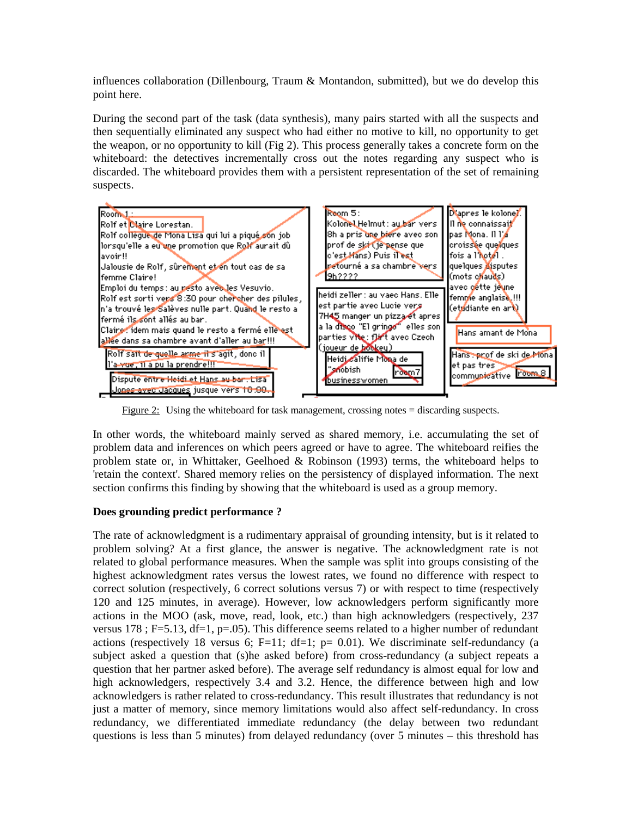influences collaboration (Dillenbourg, Traum & Montandon, submitted), but we do develop this point here.

During the second part of the task (data synthesis), many pairs started with all the suspects and then sequentially eliminated any suspect who had either no motive to kill, no opportunity to get the weapon, or no opportunity to kill (Fig 2). This process generally takes a concrete form on the whiteboard: the detectives incrementally cross out the notes regarding any suspect who is discarded. The whiteboard provides them with a persistent representation of the set of remaining suspects.



Figure 2: Using the whiteboard for task management, crossing notes = discarding suspects.

In other words, the whiteboard mainly served as shared memory, i.e. accumulating the set of problem data and inferences on which peers agreed or have to agree. The whiteboard reifies the problem state or, in Whittaker, Geelhoed & Robinson (1993) terms, the whiteboard helps to 'retain the context'. Shared memory relies on the persistency of displayed information. The next section confirms this finding by showing that the whiteboard is used as a group memory.

## **Does grounding predict performance ?**

The rate of acknowledgment is a rudimentary appraisal of grounding intensity, but is it related to problem solving? At a first glance, the answer is negative. The acknowledgment rate is not related to global performance measures. When the sample was split into groups consisting of the highest acknowledgment rates versus the lowest rates, we found no difference with respect to correct solution (respectively, 6 correct solutions versus 7) or with respect to time (respectively 120 and 125 minutes, in average). However, low acknowledgers perform significantly more actions in the MOO (ask, move, read, look, etc.) than high acknowledgers (respectively, 237 versus  $178$ ; F=5.13, df=1, p=.05). This difference seems related to a higher number of redundant actions (respectively 18 versus 6; F=11; df=1;  $p= 0.01$ ). We discriminate self-redundancy (a subject asked a question that (s)he asked before) from cross-redundancy (a subject repeats a question that her partner asked before). The average self redundancy is almost equal for low and high acknowledgers, respectively 3.4 and 3.2. Hence, the difference between high and low acknowledgers is rather related to cross-redundancy. This result illustrates that redundancy is not just a matter of memory, since memory limitations would also affect self-redundancy. In cross redundancy, we differentiated immediate redundancy (the delay between two redundant questions is less than 5 minutes) from delayed redundancy (over 5 minutes – this threshold has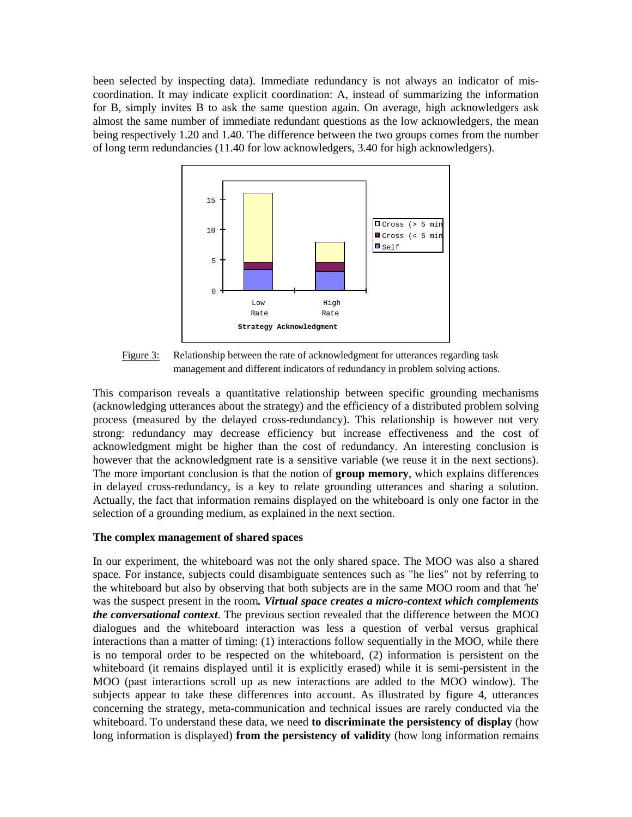been selected by inspecting data). Immediate redundancy is not always an indicator of miscoordination. It may indicate explicit coordination: A, instead of summarizing the information for B, simply invites B to ask the same question again. On average, high acknowledgers ask almost the same number of immediate redundant questions as the low acknowledgers, the mean being respectively 1.20 and 1.40. The difference between the two groups comes from the number of long term redundancies (11.40 for low acknowledgers, 3.40 for high acknowledgers).



Figure 3: Relationship between the rate of acknowledgment for utterances regarding task management and different indicators of redundancy in problem solving actions.

This comparison reveals a quantitative relationship between specific grounding mechanisms (acknowledging utterances about the strategy) and the efficiency of a distributed problem solving process (measured by the delayed cross-redundancy). This relationship is however not very strong: redundancy may decrease efficiency but increase effectiveness and the cost of acknowledgment might be higher than the cost of redundancy. An interesting conclusion is however that the acknowledgment rate is a sensitive variable (we reuse it in the next sections). The more important conclusion is that the notion of **group memory**, which explains differences in delayed cross-redundancy, is a key to relate grounding utterances and sharing a solution. Actually, the fact that information remains displayed on the whiteboard is only one factor in the selection of a grounding medium, as explained in the next section.

## **The complex management of shared spaces**

In our experiment, the whiteboard was not the only shared space. The MOO was also a shared space. For instance, subjects could disambiguate sentences such as "he lies" not by referring to the whiteboard but also by observing that both subjects are in the same MOO room and that 'he' was the suspect present in the room*. Virtual space creates a micro-context which complements the conversational context*. The previous section revealed that the difference between the MOO dialogues and the whiteboard interaction was less a question of verbal versus graphical interactions than a matter of timing: (1) interactions follow sequentially in the MOO, while there is no temporal order to be respected on the whiteboard, (2) information is persistent on the whiteboard (it remains displayed until it is explicitly erased) while it is semi-persistent in the MOO (past interactions scroll up as new interactions are added to the MOO window). The subjects appear to take these differences into account. As illustrated by figure 4, utterances concerning the strategy, meta-communication and technical issues are rarely conducted via the whiteboard. To understand these data, we need **to discriminate the persistency of display** (how long information is displayed) **from the persistency of validity** (how long information remains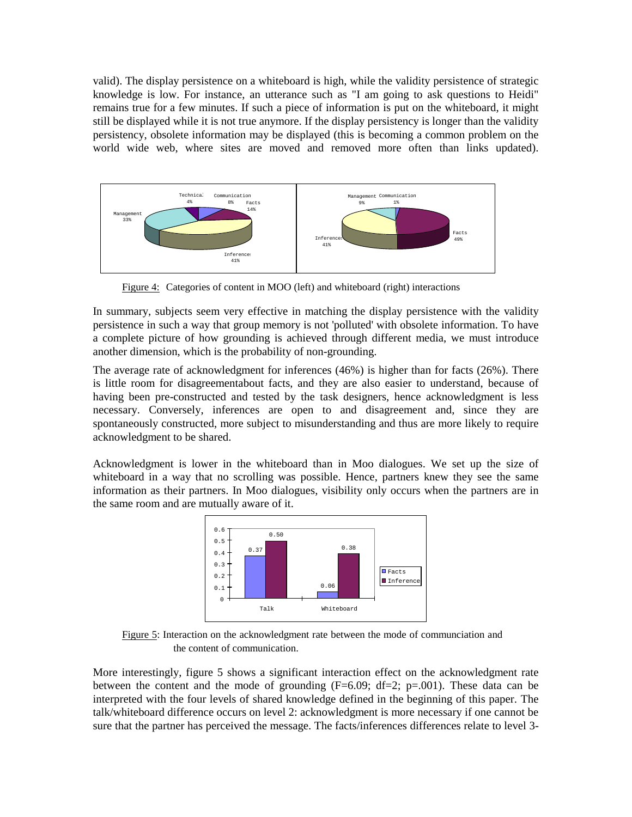valid). The display persistence on a whiteboard is high, while the validity persistence of strategic knowledge is low. For instance, an utterance such as "I am going to ask questions to Heidi" remains true for a few minutes. If such a piece of information is put on the whiteboard, it might still be displayed while it is not true anymore. If the display persistency is longer than the validity persistency, obsolete information may be displayed (this is becoming a common problem on the world wide web, where sites are moved and removed more often than links updated).



Figure 4: Categories of content in MOO (left) and whiteboard (right) interactions

In summary, subjects seem very effective in matching the display persistence with the validity persistence in such a way that group memory is not 'polluted' with obsolete information. To have a complete picture of how grounding is achieved through different media, we must introduce another dimension, which is the probability of non-grounding.

The average rate of acknowledgment for inferences (46%) is higher than for facts (26%). There is little room for disagreementabout facts, and they are also easier to understand, because of having been pre-constructed and tested by the task designers, hence acknowledgment is less necessary. Conversely, inferences are open to and disagreement and, since they are spontaneously constructed, more subject to misunderstanding and thus are more likely to require acknowledgment to be shared.

Acknowledgment is lower in the whiteboard than in Moo dialogues. We set up the size of whiteboard in a way that no scrolling was possible. Hence, partners knew they see the same information as their partners. In Moo dialogues, visibility only occurs when the partners are in the same room and are mutually aware of it.



Figure 5: Interaction on the acknowledgment rate between the mode of communciation and the content of communication.

More interestingly, figure 5 shows a significant interaction effect on the acknowledgment rate between the content and the mode of grounding  $(F=6.09; df=2; p=.001)$ . These data can be interpreted with the four levels of shared knowledge defined in the beginning of this paper. The talk/whiteboard difference occurs on level 2: acknowledgment is more necessary if one cannot be sure that the partner has perceived the message. The facts/inferences differences relate to level 3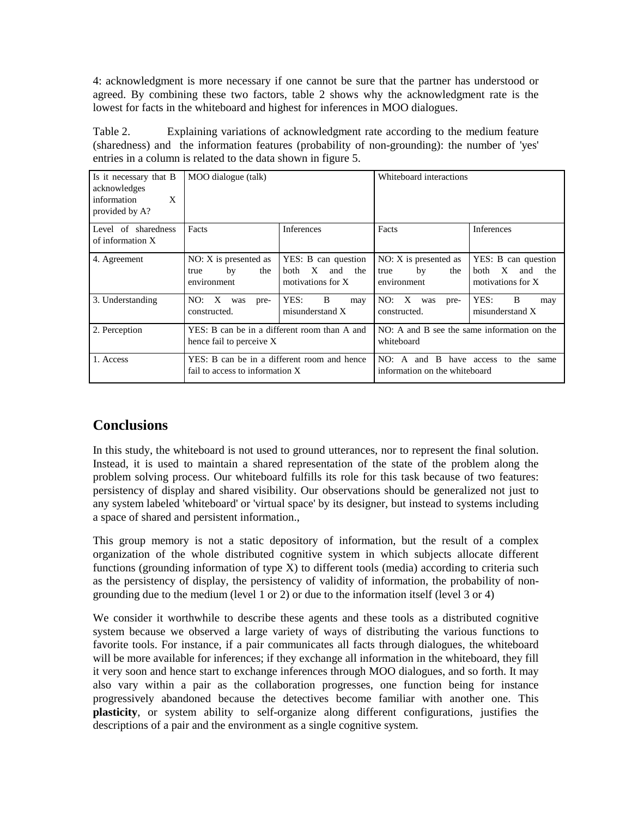4: acknowledgment is more necessary if one cannot be sure that the partner has understood or agreed. By combining these two factors, table 2 shows why the acknowledgment rate is the lowest for facts in the whiteboard and highest for inferences in MOO dialogues.

Table 2. Explaining variations of acknowledgment rate according to the medium feature (sharedness) and the information features (probability of non-grounding): the number of 'yes' entries in a column is related to the data shown in figure 5.

| Is it necessary that B<br>acknowledges<br>information<br>X<br>provided by A? | MOO dialogue (talk)                                                            |                                                                                       | Whiteboard interactions                                                                          |                                                                     |
|------------------------------------------------------------------------------|--------------------------------------------------------------------------------|---------------------------------------------------------------------------------------|--------------------------------------------------------------------------------------------------|---------------------------------------------------------------------|
| Level of sharedness<br>of information X                                      | Facts                                                                          | Inferences                                                                            | Facts                                                                                            | Inferences                                                          |
| 4. Agreement                                                                 | $NO: X$ is presented as<br>the<br>by<br>true<br>environment                    | YES: B can question<br>$\mathbf{X}$<br><b>both</b><br>the<br>and<br>motivations for X | $NO: X$ is presented as<br>the<br>by<br>true<br>environment                                      | YES: B can question<br>X<br>both<br>and<br>the<br>motivations for X |
| 3. Understanding                                                             | NO: X<br>was<br>pre-<br>constructed.                                           | YES:<br>B<br>may<br>misunderstand X                                                   | NO:<br>X<br>was<br>pre-<br>constructed.                                                          | YES:<br>B<br>may<br>misunderstand X                                 |
| 2. Perception                                                                | YES: B can be in a different room than A and<br>hence fail to perceive X       |                                                                                       | NO: A and B see the same information on the<br>whiteboard                                        |                                                                     |
| 1. Access                                                                    | YES: B can be in a different room and hence<br>fail to access to information X |                                                                                       | - B<br>NO∙<br>have access to the<br>$\mathbf{A}$<br>and<br>same<br>information on the whiteboard |                                                                     |

# **Conclusions**

In this study, the whiteboard is not used to ground utterances, nor to represent the final solution. Instead, it is used to maintain a shared representation of the state of the problem along the problem solving process. Our whiteboard fulfills its role for this task because of two features: persistency of display and shared visibility. Our observations should be generalized not just to any system labeled 'whiteboard' or 'virtual space' by its designer, but instead to systems including a space of shared and persistent information.,

This group memory is not a static depository of information, but the result of a complex organization of the whole distributed cognitive system in which subjects allocate different functions (grounding information of type X) to different tools (media) according to criteria such as the persistency of display, the persistency of validity of information, the probability of nongrounding due to the medium (level 1 or 2) or due to the information itself (level 3 or 4)

We consider it worthwhile to describe these agents and these tools as a distributed cognitive system because we observed a large variety of ways of distributing the various functions to favorite tools. For instance, if a pair communicates all facts through dialogues, the whiteboard will be more available for inferences; if they exchange all information in the whiteboard, they fill it very soon and hence start to exchange inferences through MOO dialogues, and so forth. It may also vary within a pair as the collaboration progresses, one function being for instance progressively abandoned because the detectives become familiar with another one. This **plasticity**, or system ability to self-organize along different configurations, justifies the descriptions of a pair and the environment as a single cognitive system.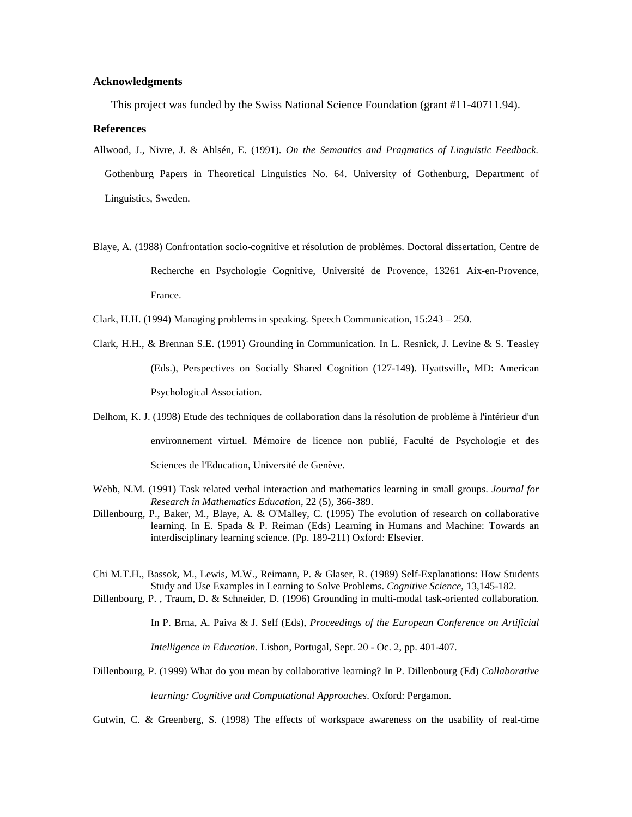#### **Acknowledgments**

This project was funded by the Swiss National Science Foundation (grant #11-40711.94).

#### **References**

- Allwood, J., Nivre, J. & Ahlsén, E. (1991). *On the Semantics and Pragmatics of Linguistic Feedback.* Gothenburg Papers in Theoretical Linguistics No. 64. University of Gothenburg, Department of Linguistics, Sweden.
- Blaye, A. (1988) Confrontation socio-cognitive et résolution de problèmes. Doctoral dissertation, Centre de Recherche en Psychologie Cognitive, Université de Provence, 13261 Aix-en-Provence, France.
- Clark, H.H. (1994) Managing problems in speaking. Speech Communication, 15:243 250.
- Clark, H.H., & Brennan S.E. (1991) Grounding in Communication. In L. Resnick, J. Levine & S. Teasley (Eds.), Perspectives on Socially Shared Cognition (127-149). Hyattsville, MD: American Psychological Association.
- Delhom, K. J. (1998) Etude des techniques de collaboration dans la résolution de problème à l'intérieur d'un environnement virtuel. Mémoire de licence non publié, Faculté de Psychologie et des Sciences de l'Education, Université de Genève.
- Webb, N.M. (1991) Task related verbal interaction and mathematics learning in small groups. *Journal for Research in Mathematics Education*, 22 (5), 366-389.
- Dillenbourg, P., Baker, M., Blaye, A. & O'Malley, C. (1995) The evolution of research on collaborative learning. In E. Spada & P. Reiman (Eds) Learning in Humans and Machine: Towards an interdisciplinary learning science. (Pp. 189-211) Oxford: Elsevier.
- Chi M.T.H., Bassok, M., Lewis, M.W., Reimann, P. & Glaser, R. (1989) Self-Explanations: How Students Study and Use Examples in Learning to Solve Problems. *Cognitive Science*, 13,145-182.
- Dillenbourg, P. , Traum, D. & Schneider, D. (1996) Grounding in multi-modal task-oriented collaboration.

In P. Brna, A. Paiva & J. Self (Eds), *Proceedings of the European Conference on Artificial Intelligence in Education*. Lisbon, Portugal, Sept. 20 - Oc. 2, pp. 401-407.

Dillenbourg, P. (1999) What do you mean by collaborative learning? In P. Dillenbourg (Ed) *Collaborative*

*learning: Cognitive and Computational Approaches*. Oxford: Pergamon.

Gutwin, C. & Greenberg, S. (1998) The effects of workspace awareness on the usability of real-time